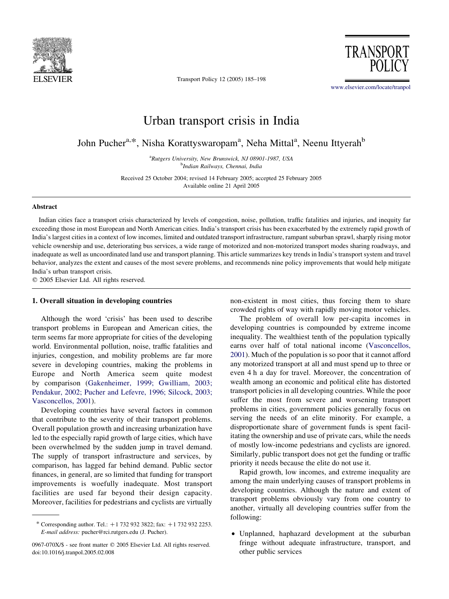

Transport Policy 12 (2005) 185–198

**TRANSPORT** 

[www.elsevier.com/locate/tranpol](http://www.elsevier.com/locate/tranpol)

# Urban transport crisis in India

John Pucher<sup>a,\*</sup>, Nisha Korattyswaropam<sup>a</sup>, Neha Mittal<sup>a</sup>, Neenu Ittyerah<sup>b</sup>

<sup>a</sup>Rutgers University, New Brunswick, NJ 08901-1987, USA <sup>b</sup>Indian Railways, Chennai, India

Received 25 October 2004; revised 14 February 2005; accepted 25 February 2005 Available online 21 April 2005

## Abstract

Indian cities face a transport crisis characterized by levels of congestion, noise, pollution, traffic fatalities and injuries, and inequity far exceeding those in most European and North American cities. India's transport crisis has been exacerbated by the extremely rapid growth of India's largest cities in a context of low incomes, limited and outdated transport infrastructure, rampant suburban sprawl, sharply rising motor vehicle ownership and use, deteriorating bus services, a wide range of motorized and non-motorized transport modes sharing roadways, and inadequate as well as uncoordinated land use and transport planning. This article summarizes key trends in India's transport system and travel behavior, analyzes the extent and causes of the most severe problems, and recommends nine policy improvements that would help mitigate India's urban transport crisis.

 $© 2005 Elsevier Ltd. All rights reserved.$ 

## 1. Overall situation in developing countries

Although the word 'crisis' has been used to describe transport problems in European and American cities, the term seems far more appropriate for cities of the developing world. Environmental pollution, noise, traffic fatalities and injuries, congestion, and mobility problems are far more severe in developing countries, making the problems in Europe and North America seem quite modest by comparison ([Gakenheimer, 1999; Gwilliam, 2003;](#page-12-0) [Pendakur, 2002; Pucher and Lefevre, 1996; Silcock, 2003;](#page-12-0) [Vasconcellos, 2001](#page-12-0)).

Developing countries have several factors in common that contribute to the severity of their transport problems. Overall population growth and increasing urbanization have led to the especially rapid growth of large cities, which have been overwhelmed by the sudden jump in travel demand. The supply of transport infrastructure and services, by comparison, has lagged far behind demand. Public sector finances, in general, are so limited that funding for transport improvements is woefully inadequate. Most transport facilities are used far beyond their design capacity. Moreover, facilities for pedestrians and cyclists are virtually

non-existent in most cities, thus forcing them to share crowded rights of way with rapidly moving motor vehicles.

The problem of overall low per-capita incomes in developing countries is compounded by extreme income inequality. The wealthiest tenth of the population typically earns over half of total national income ([Vasconcellos,](#page-13-0) [2001](#page-13-0)). Much of the population is so poor that it cannot afford any motorized transport at all and must spend up to three or even 4 h a day for travel. Moreover, the concentration of wealth among an economic and political elite has distorted transport policies in all developing countries. While the poor suffer the most from severe and worsening transport problems in cities, government policies generally focus on serving the needs of an elite minority. For example, a disproportionate share of government funds is spent facilitating the ownership and use of private cars, while the needs of mostly low-income pedestrians and cyclists are ignored. Similarly, public transport does not get the funding or traffic priority it needs because the elite do not use it.

Rapid growth, low incomes, and extreme inequality are among the main underlying causes of transport problems in developing countries. Although the nature and extent of transport problems obviously vary from one country to another, virtually all developing countries suffer from the following:

† Unplanned, haphazard development at the suburban fringe without adequate infrastructure, transport, and other public services

<sup>\*</sup> Corresponding author. Tel.:  $+1$  732 932 3822; fax:  $+1$  732 932 2253. E-mail address: pucher@rci.rutgers.edu (J. Pucher).

<sup>0967-070</sup>X/\$ - see front matter © 2005 Elsevier Ltd. All rights reserved. doi:10.1016/j.tranpol.2005.02.008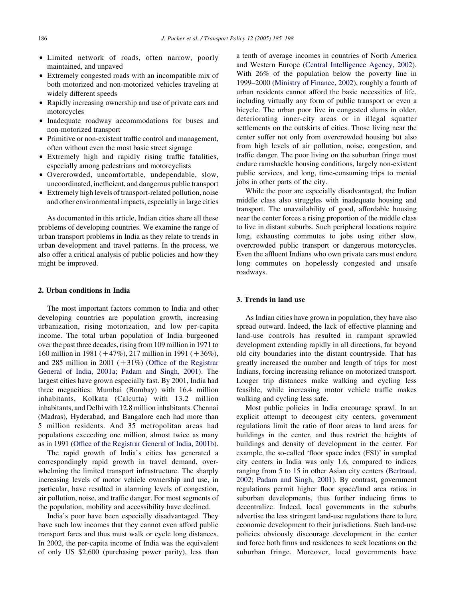- Limited network of roads, often narrow, poorly maintained, and unpaved
- Extremely congested roads with an incompatible mix of both motorized and non-motorized vehicles traveling at widely different speeds
- † Rapidly increasing ownership and use of private cars and motorcycles
- Inadequate roadway accommodations for buses and non-motorized transport
- Primitive or non-existent traffic control and management, often without even the most basic street signage
- † Extremely high and rapidly rising traffic fatalities, especially among pedestrians and motorcyclists
- † Overcrowded, uncomfortable, undependable, slow, uncoordinated, inefficient, and dangerous public transport
- Extremely high levels of transport-related pollution, noise and other environmental impacts, especially in large cities

As documented in this article, Indian cities share all these problems of developing countries. We examine the range of urban transport problems in India as they relate to trends in urban development and travel patterns. In the process, we also offer a critical analysis of public policies and how they might be improved.

## 2. Urban conditions in India

The most important factors common to India and other developing countries are population growth, increasing urbanization, rising motorization, and low per-capita income. The total urban population of India burgeoned over the past three decades, rising from 109 million in 1971 to 160 million in 1981 ( $+47\%$ ), 217 million in 1991 ( $+36\%$ ), and 285 million in 2001  $(+31\%)$  [\(Office of the Registrar](#page-13-0) [General of India, 2001a; Padam and Singh, 2001](#page-13-0)). The largest cities have grown especially fast. By 2001, India had three megacities: Mumbai (Bombay) with 16.4 million inhabitants, Kolkata (Calcutta) with 13.2 million inhabitants, and Delhi with 12.8 million inhabitants. Chennai (Madras), Hyderabad, and Bangalore each had more than 5 million residents. And 35 metropolitan areas had populations exceeding one million, almost twice as many as in 1991 [\(Office of the Registrar General of India, 2001b\)](#page-13-0).

The rapid growth of India's cities has generated a correspondingly rapid growth in travel demand, overwhelming the limited transport infrastructure. The sharply increasing levels of motor vehicle ownership and use, in particular, have resulted in alarming levels of congestion, air pollution, noise, and traffic danger. For most segments of the population, mobility and accessibility have declined.

India's poor have been especially disadvantaged. They have such low incomes that they cannot even afford public transport fares and thus must walk or cycle long distances. In 2002, the per-capita income of India was the equivalent of only US \$2,600 (purchasing power parity), less than

a tenth of average incomes in countries of North America and Western Europe [\(Central Intelligence Agency, 2002\)](#page-12-0). With 26% of the population below the poverty line in 1999–2000 [\(Ministry of Finance, 2002\)](#page-12-0), roughly a fourth of urban residents cannot afford the basic necessities of life, including virtually any form of public transport or even a bicycle. The urban poor live in congested slums in older, deteriorating inner-city areas or in illegal squatter settlements on the outskirts of cities. Those living near the center suffer not only from overcrowded housing but also from high levels of air pollution, noise, congestion, and traffic danger. The poor living on the suburban fringe must endure ramshackle housing conditions, largely non-existent public services, and long, time-consuming trips to menial jobs in other parts of the city.

While the poor are especially disadvantaged, the Indian middle class also struggles with inadequate housing and transport. The unavailability of good, affordable housing near the center forces a rising proportion of the middle class to live in distant suburbs. Such peripheral locations require long, exhausting commutes to jobs using either slow, overcrowded public transport or dangerous motorcycles. Even the affluent Indians who own private cars must endure long commutes on hopelessly congested and unsafe roadways.

## 3. Trends in land use

As Indian cities have grown in population, they have also spread outward. Indeed, the lack of effective planning and land-use controls has resulted in rampant sprawled development extending rapidly in all directions, far beyond old city boundaries into the distant countryside. That has greatly increased the number and length of trips for most Indians, forcing increasing reliance on motorized transport. Longer trip distances make walking and cycling less feasible, while increasing motor vehicle traffic makes walking and cycling less safe.

Most public policies in India encourage sprawl. In an explicit attempt to decongest city centers, government regulations limit the ratio of floor areas to land areas for buildings in the center, and thus restrict the heights of buildings and density of development in the center. For example, the so-called 'floor space index (FSI)' in sampled city centers in India was only 1.6, compared to indices ranging from 5 to 15 in other Asian city centers [\(Bertraud,](#page-12-0) [2002; Padam and Singh, 2001\)](#page-12-0). By contrast, government regulations permit higher floor space/land area ratios in suburban developments, thus further inducing firms to decentralize. Indeed, local governments in the suburbs advertise the less stringent land-use regulations there to lure economic development to their jurisdictions. Such land-use policies obviously discourage development in the center and force both firms and residences to seek locations on the suburban fringe. Moreover, local governments have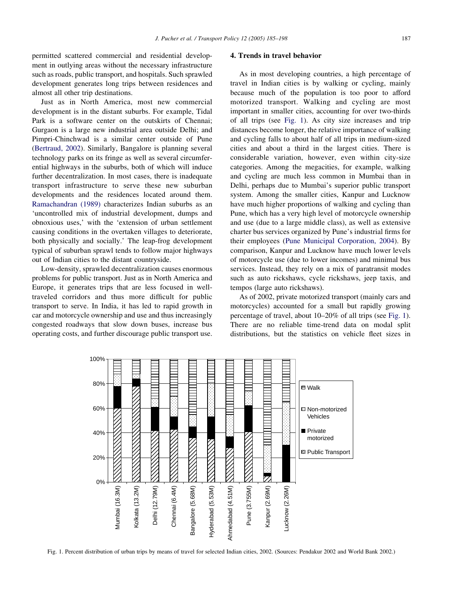<span id="page-2-0"></span>permitted scattered commercial and residential development in outlying areas without the necessary infrastructure such as roads, public transport, and hospitals. Such sprawled development generates long trips between residences and almost all other trip destinations.

Just as in North America, most new commercial development is in the distant suburbs. For example, Tidal Park is a software center on the outskirts of Chennai; Gurgaon is a large new industrial area outside Delhi; and Pimpri-Chinchwad is a similar center outside of Pune ([Bertraud, 2002\)](#page-12-0). Similarly, Bangalore is planning several technology parks on its fringe as well as several circumferential highways in the suburbs, both of which will induce further decentralization. In most cases, there is inadequate transport infrastructure to serve these new suburban developments and the residences located around them. [Ramachandran \(1989\)](#page-13-0) characterizes Indian suburbs as an 'uncontrolled mix of industrial development, dumps and obnoxious uses,' with the 'extension of urban settlement causing conditions in the overtaken villages to deteriorate, both physically and socially.' The leap-frog development typical of suburban sprawl tends to follow major highways out of Indian cities to the distant countryside.

Low-density, sprawled decentralization causes enormous problems for public transport. Just as in North America and Europe, it generates trips that are less focused in welltraveled corridors and thus more difficult for public transport to serve. In India, it has led to rapid growth in car and motorcycle ownership and use and thus increasingly congested roadways that slow down buses, increase bus operating costs, and further discourage public transport use.

## 4. Trends in travel behavior

As in most developing countries, a high percentage of travel in Indian cities is by walking or cycling, mainly because much of the population is too poor to afford motorized transport. Walking and cycling are most important in smaller cities, accounting for over two-thirds of all trips (see Fig. 1). As city size increases and trip distances become longer, the relative importance of walking and cycling falls to about half of all trips in medium-sized cities and about a third in the largest cities. There is considerable variation, however, even within city-size categories. Among the megacities, for example, walking and cycling are much less common in Mumbai than in Delhi, perhaps due to Mumbai's superior public transport system. Among the smaller cities, Kanpur and Lucknow have much higher proportions of walking and cycling than Pune, which has a very high level of motorcycle ownership and use (due to a large middle class), as well as extensive charter bus services organized by Pune's industrial firms for their employees [\(Pune Municipal Corporation, 2004\)](#page-13-0). By comparison, Kanpur and Lucknow have much lower levels of motorcycle use (due to lower incomes) and minimal bus services. Instead, they rely on a mix of paratransit modes such as auto rickshaws, cycle rickshaws, jeep taxis, and tempos (large auto rickshaws).

As of 2002, private motorized transport (mainly cars and motorcycles) accounted for a small but rapidly growing percentage of travel, about 10–20% of all trips (see Fig. 1). There are no reliable time-trend data on modal split distributions, but the statistics on vehicle fleet sizes in



Fig. 1. Percent distribution of urban trips by means of travel for selected Indian cities, 2002. (Sources: Pendakur 2002 and World Bank 2002.)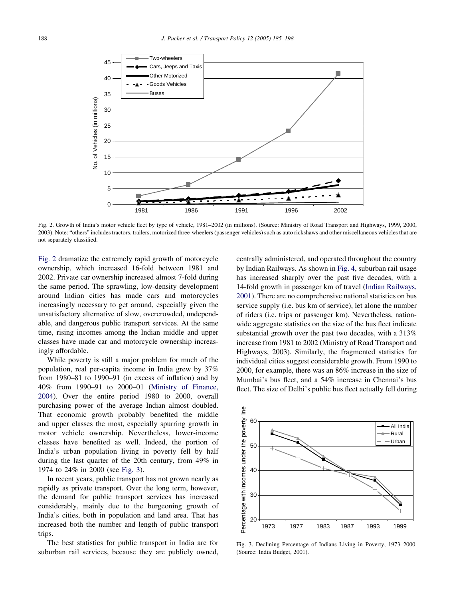<span id="page-3-0"></span>

Fig. 2. Growth of India's motor vehicle fleet by type of vehicle, 1981–2002 (in millions). (Source: Ministry of Road Transport and Highways, 1999, 2000, 2003). Note: "others" includes tractors, trailers, motorized three-wheelers (passenger vehicles) such as auto rickshaws and other miscellaneous vehicles that are not separately classified.

Fig. 2 dramatize the extremely rapid growth of motorcycle ownership, which increased 16-fold between 1981 and 2002. Private car ownership increased almost 7-fold during the same period. The sprawling, low-density development around Indian cities has made cars and motorcycles increasingly necessary to get around, especially given the unsatisfactory alternative of slow, overcrowded, undependable, and dangerous public transport services. At the same time, rising incomes among the Indian middle and upper classes have made car and motorcycle ownership increasingly affordable.

While poverty is still a major problem for much of the population, real per-capita income in India grew by 37% from 1980–81 to 1990–91 (in excess of inflation) and by 40% from 1990–91 to 2000–01 [\(Ministry of Finance,](#page-13-0) [2004\)](#page-13-0). Over the entire period 1980 to 2000, overall purchasing power of the average Indian almost doubled. That economic growth probably benefited the middle and upper classes the most, especially spurring growth in motor vehicle ownership. Nevertheless, lower-income classes have benefited as well. Indeed, the portion of India's urban population living in poverty fell by half during the last quarter of the 20th century, from 49% in 1974 to 24% in 2000 (see Fig. 3).

In recent years, public transport has not grown nearly as rapidly as private transport. Over the long term, however, the demand for public transport services has increased considerably, mainly due to the burgeoning growth of India's cities, both in population and land area. That has increased both the number and length of public transport trips.

The best statistics for public transport in India are for suburban rail services, because they are publicly owned,

centrally administered, and operated throughout the country by Indian Railways. As shown in [Fig. 4,](#page-4-0) suburban rail usage has increased sharply over the past five decades, with a 14-fold growth in passenger km of travel ([Indian Railways,](#page-12-0) [2001\)](#page-12-0). There are no comprehensive national statistics on bus service supply (i.e. bus km of service), let alone the number of riders (i.e. trips or passenger km). Nevertheless, nationwide aggregate statistics on the size of the bus fleet indicate substantial growth over the past two decades, with a 313% increase from 1981 to 2002 (Ministry of Road Transport and Highways, 2003). Similarly, the fragmented statistics for individual cities suggest considerable growth. From 1990 to 2000, for example, there was an 86% increase in the size of Mumbai's bus fleet, and a 54% increase in Chennai's bus fleet. The size of Delhi's public bus fleet actually fell during



Fig. 3. Declining Percentage of Indians Living in Poverty, 1973–2000. (Source: India Budget, 2001).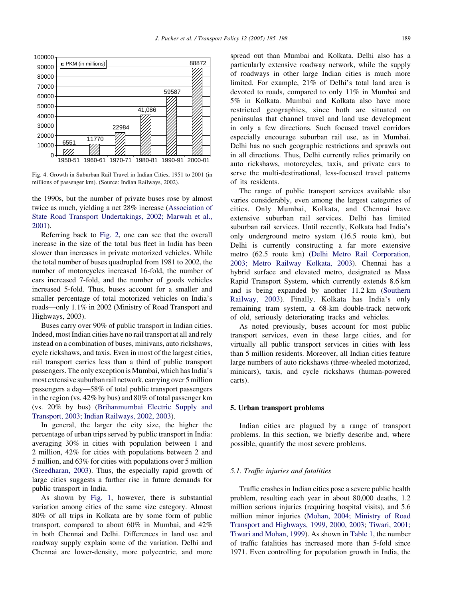<span id="page-4-0"></span>

Fig. 4. Growth in Suburban Rail Travel in Indian Cities, 1951 to 2001 (in millions of passenger km). (Source: Indian Railways, 2002).

the 1990s, but the number of private buses rose by almost twice as much, yielding a net 28% increase [\(Association of](#page-12-0) [State Road Transport Undertakings, 2002; Marwah et al.,](#page-12-0) [2001](#page-12-0)).

Referring back to [Fig. 2](#page-3-0), one can see that the overall increase in the size of the total bus fleet in India has been slower than increases in private motorized vehicles. While the total number of buses quadrupled from 1981 to 2002, the number of motorcycles increased 16-fold, the number of cars increased 7-fold, and the number of goods vehicles increased 5-fold. Thus, buses account for a smaller and smaller percentage of total motorized vehicles on India's roads—only 1.1% in 2002 (Ministry of Road Transport and Highways, 2003).

Buses carry over 90% of public transport in Indian cities. Indeed, most Indian cities have no rail transport at all and rely instead on a combination of buses, minivans, auto rickshaws, cycle rickshaws, and taxis. Even in most of the largest cities, rail transport carries less than a third of public transport passengers. The only exception is Mumbai, which has India's most extensive suburban rail network, carrying over 5 million passengers a day—58% of total public transport passengers in the region (vs. 42% by bus) and 80% of total passenger km (vs. 20% by bus) [\(Brihanmumbai Electric Supply and](#page-12-0) [Transport, 2003; Indian Railways, 2002, 2003\)](#page-12-0).

In general, the larger the city size, the higher the percentage of urban trips served by public transport in India: averaging 30% in cities with population between 1 and 2 million, 42% for cities with populations between 2 and 5 million, and 63% for cities with populations over 5 million ([Sreedharan, 2003\)](#page-13-0). Thus, the especially rapid growth of large cities suggests a further rise in future demands for public transport in India.

As shown by [Fig. 1](#page-2-0), however, there is substantial variation among cities of the same size category. Almost 80% of all trips in Kolkata are by some form of public transport, compared to about 60% in Mumbai, and 42% in both Chennai and Delhi. Differences in land use and roadway supply explain some of the variation. Delhi and Chennai are lower-density, more polycentric, and more

spread out than Mumbai and Kolkata. Delhi also has a particularly extensive roadway network, while the supply of roadways in other large Indian cities is much more limited. For example, 21% of Delhi's total land area is devoted to roads, compared to only 11% in Mumbai and 5% in Kolkata. Mumbai and Kolkata also have more restricted geographies, since both are situated on peninsulas that channel travel and land use development in only a few directions. Such focused travel corridors especially encourage suburban rail use, as in Mumbai. Delhi has no such geographic restrictions and sprawls out in all directions. Thus, Delhi currently relies primarily on auto rickshaws, motorcycles, taxis, and private cars to serve the multi-destinational, less-focused travel patterns of its residents.

The range of public transport services available also varies considerably, even among the largest categories of cities. Only Mumbai, Kolkata, and Chennai have extensive suburban rail services. Delhi has limited suburban rail services. Until recently, Kolkata had India's only underground metro system (16.5 route km), but Delhi is currently constructing a far more extensive metro (62.5 route km) ([Delhi Metro Rail Corporation,](#page-12-0) [2003; Metro Railway Kolkata, 2003](#page-12-0)). Chennai has a hybrid surface and elevated metro, designated as Mass Rapid Transport System, which currently extends 8.6 km and is being expanded by another 11.2 km ([Southern](#page-13-0) [Railway, 2003\)](#page-13-0). Finally, Kolkata has India's only remaining tram system, a 68-km double-track network of old, seriously deteriorating tracks and vehicles.

As noted previously, buses account for most public transport services, even in these large cities, and for virtually all public transport services in cities with less than 5 million residents. Moreover, all Indian cities feature large numbers of auto rickshaws (three-wheeled motorized, minicars), taxis, and cycle rickshaws (human-powered carts).

## 5. Urban transport problems

Indian cities are plagued by a range of transport problems. In this section, we briefly describe and, where possible, quantify the most severe problems.

## 5.1. Traffic injuries and fatalities

Traffic crashes in Indian cities pose a severe public health problem, resulting each year in about 80,000 deaths, 1.2 million serious injuries (requiring hospital visits), and 5.6 million minor injuries [\(Mohan, 2004; Ministry of Road](#page-13-0) [Transport and Highways, 1999, 2000, 2003](#page-13-0); [Tiwari, 2001;](#page-13-0) [Tiwari and Mohan, 1999](#page-13-0)). As shown in [Table 1,](#page-5-0) the number of traffic fatalities has increased more than 5-fold since 1971. Even controlling for population growth in India, the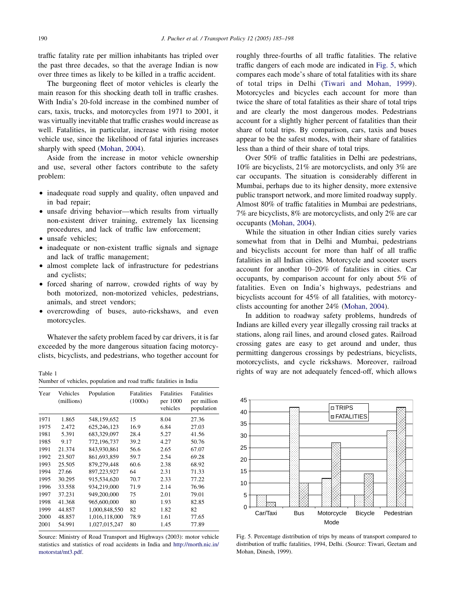<span id="page-5-0"></span>traffic fatality rate per million inhabitants has tripled over the past three decades, so that the average Indian is now over three times as likely to be killed in a traffic accident.

The burgeoning fleet of motor vehicles is clearly the main reason for this shocking death toll in traffic crashes. With India's 20-fold increase in the combined number of cars, taxis, trucks, and motorcycles from 1971 to 2001, it was virtually inevitable that traffic crashes would increase as well. Fatalities, in particular, increase with rising motor vehicle use, since the likelihood of fatal injuries increases sharply with speed ([Mohan, 2004\)](#page-13-0).

Aside from the increase in motor vehicle ownership and use, several other factors contribute to the safety problem:

- inadequate road supply and quality, often unpaved and in bad repair;
- unsafe driving behavior—which results from virtually non-existent driver training, extremely lax licensing procedures, and lack of traffic law enforcement;
- unsafe vehicles;
- inadequate or non-existent traffic signals and signage and lack of traffic management;
- almost complete lack of infrastructure for pedestrians and cyclists;
- forced sharing of narrow, crowded rights of way by both motorized, non-motorized vehicles, pedestrians, animals, and street vendors;
- overcrowding of buses, auto-rickshaws, and even motorcycles.

Whatever the safety problem faced by car drivers, it is far exceeded by the more dangerous situation facing motorcyclists, bicyclists, and pedestrians, who together account for

Number of vehicles, population and road traffic fatalities in India

| Year | Vehicles<br>(millions) | Population    | <b>Fatalities</b><br>(1000s) | <b>Fatalities</b><br>per 1000<br>vehicles | <b>Fatalities</b><br>per million<br>population |
|------|------------------------|---------------|------------------------------|-------------------------------------------|------------------------------------------------|
| 1971 | 1.865                  | 548,159,652   | 15                           | 8.04                                      | 27.36                                          |
| 1975 | 2.472                  | 625.246.123   | 16.9                         | 6.84                                      | 27.03                                          |
| 1981 | 5.391                  | 683,329,097   | 28.4                         | 5.27                                      | 41.56                                          |
| 1985 | 9.17                   | 772,196,737   | 39.2                         | 4.27                                      | 50.76                                          |
| 1991 | 21.374                 | 843,930,861   | 56.6                         | 2.65                                      | 67.07                                          |
| 1992 | 23.507                 | 861,693,859   | 59.7                         | 2.54                                      | 69.28                                          |
| 1993 | 25.505                 | 879,279,448   | 60.6                         | 2.38                                      | 68.92                                          |
| 1994 | 27.66                  | 897,223,927   | 64                           | 2.31                                      | 71.33                                          |
| 1995 | 30.295                 | 915.534.620   | 70.7                         | 2.33                                      | 77.22                                          |
| 1996 | 33.558                 | 934,219,000   | 71.9                         | 2.14                                      | 76.96                                          |
| 1997 | 37.231                 | 949,200,000   | 75                           | 2.01                                      | 79.01                                          |
| 1998 | 41.368                 | 965,600,000   | 80                           | 1.93                                      | 82.85                                          |
| 1999 | 44.857                 | 1.000.848.550 | 82                           | 1.82                                      | 82                                             |
| 2000 | 48.857                 | 1,016,118,000 | 78.9                         | 1.61                                      | 77.65                                          |
| 2001 | 54.991                 | 1.027.015.247 | 80                           | 1.45                                      | 77.89                                          |

Source: Ministry of Road Transport and Highways (2003): motor vehicle statistics and statistics of road accidents in India and [http://morth.nic.in/](http://morth.nic.in/motorstat/mt3.pdf) [motorstat/mt3.pdf.](http://morth.nic.in/motorstat/mt3.pdf)

roughly three-fourths of all traffic fatalities. The relative traffic dangers of each mode are indicated in Fig. 5, which compares each mode's share of total fatalities with its share of total trips in Delhi ([Tiwari and Mohan, 1999\)](#page-13-0). Motorcycles and bicycles each account for more than twice the share of total fatalities as their share of total trips and are clearly the most dangerous modes. Pedestrians account for a slightly higher percent of fatalities than their share of total trips. By comparison, cars, taxis and buses appear to be the safest modes, with their share of fatalities less than a third of their share of total trips.

Over 50% of traffic fatalities in Delhi are pedestrians, 10% are bicyclists, 21% are motorcyclists, and only 3% are car occupants. The situation is considerably different in Mumbai, perhaps due to its higher density, more extensive public transport network, and more limited roadway supply. Almost 80% of traffic fatalities in Mumbai are pedestrians, 7% are bicyclists, 8% are motorcyclists, and only 2% are car occupants ([Mohan, 2004\)](#page-13-0).

While the situation in other Indian cities surely varies somewhat from that in Delhi and Mumbai, pedestrians and bicyclists account for more than half of all traffic fatalities in all Indian cities. Motorcycle and scooter users account for another 10–20% of fatalities in cities. Car occupants, by comparison account for only about 5% of fatalities. Even on India's highways, pedestrians and bicyclists account for 45% of all fatalities, with motorcyclists accounting for another 24% [\(Mohan, 2004](#page-13-0)).

In addition to roadway safety problems, hundreds of Indians are killed every year illegally crossing rail tracks at stations, along rail lines, and around closed gates. Railroad crossing gates are easy to get around and under, thus permitting dangerous crossings by pedestrians, bicyclists, motorcyclists, and cycle rickshaws. Moreover, railroad Table 1 rights of way are not adequately fenced-off, which allows



Fig. 5. Percentage distribution of trips by means of transport compared to distribution of traffic fatalities, 1994, Delhi. (Source: Tiwari, Geetam and Mohan, Dinesh, 1999).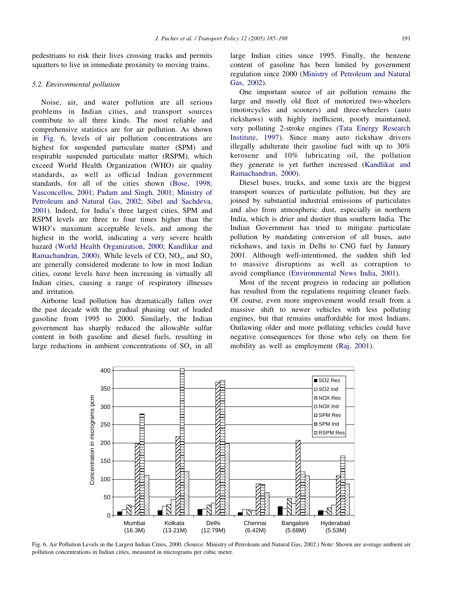pedestrians to risk their lives crossing tracks and permits squatters to live in immediate proximity to moving trains.

## 5.2. Environmental pollution

Noise, air, and water pollution are all serious problems in Indian cities, and transport sources contribute to all three kinds. The most reliable and comprehensive statistics are for air pollution. As shown in Fig. 6, levels of air pollution concentrations are highest for suspended particulate matter (SPM) and respirable suspended particulate matter (RSPM), which exceed World Health Organization (WHO) air quality standards, as well as official Indian government standards, for all of the cities shown ([Bose, 1998;](#page-12-0) [Vasconcellos, 2001; Padam and Singh, 2001; Ministry of](#page-12-0) [Petroleum and Natural Gas, 2002; Sibel and Sachdeva,](#page-12-0) [2001](#page-12-0)). Indeed, for India's three largest cities, SPM and RSPM levels are three to four times higher than the WHO's maximum acceptable levels, and among the highest in the world, indicating a very severe health hazard ([World Health Organization, 2000; Kandlikar and](#page-13-0) [Ramachandran, 2000\)](#page-13-0). While levels of CO,  $NO_x$ , and  $SO_x$ are generally considered moderate to low in most Indian cities, ozone levels have been increasing in virtually all Indian cities, causing a range of respiratory illnesses and irritation.

Airborne lead pollution has dramatically fallen over the past decade with the gradual phasing out of leaded gasoline from 1995 to 2000. Similarly, the Indian government has sharply reduced the allowable sulfur content in both gasoline and diesel fuels, resulting in large reductions in ambient concentrations of  $SO<sub>x</sub>$  in all

large Indian cities since 1995. Finally, the benzene content of gasoline has been limited by government regulation since 2000 [\(Ministry of Petroleum and Natural](#page-13-0) [Gas, 2002\)](#page-13-0).

One important source of air pollution remains the large and mostly old fleet of motorized two-wheelers (motorcycles and scooters) and three-wheelers (auto rickshaws) with highly inefficient, poorly maintained, very polluting 2-stroke engines [\(Tata Energy Research](#page-13-0) [Institute, 1997](#page-13-0)). Since many auto rickshaw drivers illegally adulterate their gasoline fuel with up to 30% kerosene and 10% lubricating oil, the pollution they generate is yet further increased ([Kandlikar and](#page-12-0) [Ramachandran, 2000\)](#page-12-0).

Diesel buses, trucks, and some taxis are the biggest transport sources of particulate pollution, but they are joined by substantial industrial emissions of particulates and also from atmospheric dust, especially in northern India, which is drier and dustier than southern India. The Indian Government has tried to mitigate particulate pollution by mandating conversion of all buses, auto rickshaws, and taxis in Delhi to CNG fuel by January 2001. Although well-intentioned, the sudden shift led to massive disruptions as well as corruption to avoid compliance [\(Environmental News India, 2001](#page-12-0)).

Most of the recent progress in reducing air pollution has resulted from the regulations requiring cleaner fuels. Of course, even more improvement would result from a massive shift to newer vehicles with less polluting engines, but that remains unaffordable for most Indians. Outlawing older and more polluting vehicles could have negative consequences for those who rely on them for mobility as well as employment [\(Raj, 2001](#page-13-0)).



Fig. 6. Air Pollution Levels in the Largest Indian Cities, 2000. (Source: Ministry of Petroleum and Natural Gas, 2002.) Note: Shown are average ambient air pollution concentrations in Indian cities, measured in micrograms per cubic meter.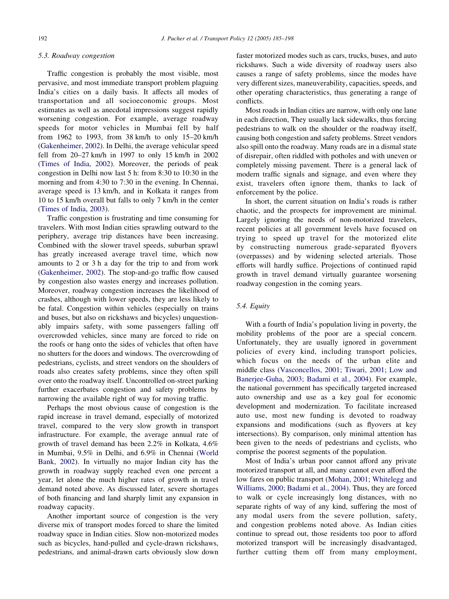## 5.3. Roadway congestion

Traffic congestion is probably the most visible, most pervasive, and most immediate transport problem plaguing India's cities on a daily basis. It affects all modes of transportation and all socioeconomic groups. Most estimates as well as anecdotal impressions suggest rapidly worsening congestion. For example, average roadway speeds for motor vehicles in Mumbai fell by half from 1962 to 1993, from 38 km/h to only 15–20 km/h ([Gakenheimer, 2002\)](#page-12-0). In Delhi, the average vehicular speed fell from 20–27 km/h in 1997 to only 15 km/h in 2002 ([Times of India, 2002](#page-13-0)). Moreover, the periods of peak congestion in Delhi now last 5 h: from 8:30 to 10:30 in the morning and from 4:30 to 7:30 in the evening. In Chennai, average speed is 13 km/h, and in Kolkata it ranges from 10 to 15 km/h overall but falls to only 7 km/h in the center ([Times of India, 2003](#page-13-0)).

Traffic congestion is frustrating and time consuming for travelers. With most Indian cities sprawling outward to the periphery, average trip distances have been increasing. Combined with the slower travel speeds, suburban sprawl has greatly increased average travel time, which now amounts to 2 or 3 h a day for the trip to and from work ([Gakenheimer, 2002](#page-12-0)). The stop-and-go traffic flow caused by congestion also wastes energy and increases pollution. Moreover, roadway congestion increases the likelihood of crashes, although with lower speeds, they are less likely to be fatal. Congestion within vehicles (especially on trains and buses, but also on rickshaws and bicycles) unquestionably impairs safety, with some passengers falling off overcrowded vehicles, since many are forced to ride on the roofs or hang onto the sides of vehicles that often have no shutters for the doors and windows. The overcrowding of pedestrians, cyclists, and street vendors on the shoulders of roads also creates safety problems, since they often spill over onto the roadway itself. Uncontrolled on-street parking further exacerbates congestion and safety problems by narrowing the available right of way for moving traffic.

Perhaps the most obvious cause of congestion is the rapid increase in travel demand, especially of motorized travel, compared to the very slow growth in transport infrastructure. For example, the average annual rate of growth of travel demand has been 2.2% in Kolkata, 4.6% in Mumbai, 9.5% in Delhi, and 6.9% in Chennai [\(World](#page-13-0) [Bank, 2002](#page-13-0)). In virtually no major Indian city has the growth in roadway supply reached even one percent a year, let alone the much higher rates of growth in travel demand noted above. As discussed later, severe shortages of both financing and land sharply limit any expansion in roadway capacity.

Another important source of congestion is the very diverse mix of transport modes forced to share the limited roadway space in Indian cities. Slow non-motorized modes such as bicycles, hand-pulled and cycle-drawn rickshaws, pedestrians, and animal-drawn carts obviously slow down

faster motorized modes such as cars, trucks, buses, and auto rickshaws. Such a wide diversity of roadway users also causes a range of safety problems, since the modes have very different sizes, maneuverability, capacities, speeds, and other operating characteristics, thus generating a range of conflicts.

Most roads in Indian cities are narrow, with only one lane in each direction, They usually lack sidewalks, thus forcing pedestrians to walk on the shoulder or the roadway itself, causing both congestion and safety problems. Street vendors also spill onto the roadway. Many roads are in a dismal state of disrepair, often riddled with potholes and with uneven or completely missing pavement. There is a general lack of modern traffic signals and signage, and even where they exist, travelers often ignore them, thanks to lack of enforcement by the police.

In short, the current situation on India's roads is rather chaotic, and the prospects for improvement are minimal. Largely ignoring the needs of non-motorized travelers, recent policies at all government levels have focused on trying to speed up travel for the motorized elite by constructing numerous grade-separated flyovers (overpasses) and by widening selected arterials. Those efforts will hardly suffice. Projections of continued rapid growth in travel demand virtually guarantee worsening roadway congestion in the coming years.

## 5.4. Equity

With a fourth of India's population living in poverty, the mobility problems of the poor are a special concern. Unfortunately, they are usually ignored in government policies of every kind, including transport policies, which focus on the needs of the urban elite and middle class [\(Vasconcellos, 2001; Tiwari, 2001; Low and](#page-13-0) Baneriee-Guha, 2003; Badami et al., 2004). For example, the national government has specifically targeted increased auto ownership and use as a key goal for economic development and modernization. To facilitate increased auto use, most new funding is devoted to roadway expansions and modifications (such as flyovers at key intersections). By comparison, only minimal attention has been given to the needs of pedestrians and cyclists, who comprise the poorest segments of the population.

Most of India's urban poor cannot afford any private motorized transport at all, and many cannot even afford the low fares on public transport [\(Mohan, 2001; Whitelegg and](#page-13-0) [Williams, 2000; Badami et al., 2004](#page-13-0)). Thus, they are forced to walk or cycle increasingly long distances, with no separate rights of way of any kind, suffering the most of any modal users from the severe pollution, safety, and congestion problems noted above. As Indian cities continue to spread out, those residents too poor to afford motorized transport will be increasingly disadvantaged, further cutting them off from many employment,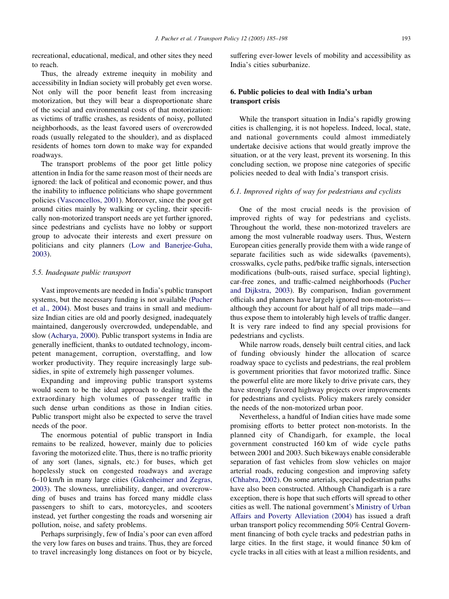recreational, educational, medical, and other sites they need to reach.

Thus, the already extreme inequity in mobility and accessibility in Indian society will probably get even worse. Not only will the poor benefit least from increasing motorization, but they will bear a disproportionate share of the social and environmental costs of that motorization: as victims of traffic crashes, as residents of noisy, polluted neighborhoods, as the least favored users of overcrowded roads (usually relegated to the shoulder), and as displaced residents of homes torn down to make way for expanded roadways.

The transport problems of the poor get little policy attention in India for the same reason most of their needs are ignored: the lack of political and economic power, and thus the inability to influence politicians who shape government policies ([Vasconcellos, 2001\)](#page-13-0). Moreover, since the poor get around cities mainly by walking or cycling, their specifically non-motorized transport needs are yet further ignored, since pedestrians and cyclists have no lobby or support group to advocate their interests and exert pressure on politicians and city planners [\(Low and Banerjee-Guha,](#page-12-0) [2003](#page-12-0)).

## 5.5. Inadequate public transport

Vast improvements are needed in India's public transport systems, but the necessary funding is not available ([Pucher](#page-13-0) [et al., 2004\)](#page-13-0). Most buses and trains in small and mediumsize Indian cities are old and poorly designed, inadequately maintained, dangerously overcrowded, undependable, and slow [\(Acharya, 2000](#page-12-0)). Public transport systems in India are generally inefficient, thanks to outdated technology, incompetent management, corruption, overstaffing, and low worker productivity. They require increasingly large subsidies, in spite of extremely high passenger volumes.

Expanding and improving public transport systems would seem to be the ideal approach to dealing with the extraordinary high volumes of passenger traffic in such dense urban conditions as those in Indian cities. Public transport might also be expected to serve the travel needs of the poor.

The enormous potential of public transport in India remains to be realized, however, mainly due to policies favoring the motorized elite. Thus, there is no traffic priority of any sort (lanes, signals, etc.) for buses, which get hopelessly stuck on congested roadways and average 6–10 km/h in many large cities ([Gakenheimer and Zegras,](#page-12-0) [2003](#page-12-0)). The slowness, unreliability, danger, and overcrowding of buses and trains has forced many middle class passengers to shift to cars, motorcycles, and scooters instead, yet further congesting the roads and worsening air pollution, noise, and safety problems.

Perhaps surprisingly, few of India's poor can even afford the very low fares on buses and trains. Thus, they are forced to travel increasingly long distances on foot or by bicycle, suffering ever-lower levels of mobility and accessibility as India's cities suburbanize.

## 6. Public policies to deal with India's urban transport crisis

While the transport situation in India's rapidly growing cities is challenging, it is not hopeless. Indeed, local, state, and national governments could almost immediately undertake decisive actions that would greatly improve the situation, or at the very least, prevent its worsening. In this concluding section, we propose nine categories of specific policies needed to deal with India's transport crisis.

## 6.1. Improved rights of way for pedestrians and cyclists

One of the most crucial needs is the provision of improved rights of way for pedestrians and cyclists. Throughout the world, these non-motorized travelers are among the most vulnerable roadway users. Thus, Western European cities generally provide them with a wide range of separate facilities such as wide sidewalks (pavements), crosswalks, cycle paths, ped/bike traffic signals, intersection modifications (bulb-outs, raised surface, special lighting), car-free zones, and traffic-calmed neighborhoods ([Pucher](#page-13-0) [and Dijkstra, 2003\)](#page-13-0). By comparison, Indian government officials and planners have largely ignored non-motorists although they account for about half of all trips made—and thus expose them to intolerably high levels of traffic danger. It is very rare indeed to find any special provisions for pedestrians and cyclists.

While narrow roads, densely built central cities, and lack of funding obviously hinder the allocation of scarce roadway space to cyclists and pedestrians, the real problem is government priorities that favor motorized traffic. Since the powerful elite are more likely to drive private cars, they have strongly favored highway projects over improvements for pedestrians and cyclists. Policy makers rarely consider the needs of the non-motorized urban poor.

Nevertheless, a handful of Indian cities have made some promising efforts to better protect non-motorists. In the planned city of Chandigarh, for example, the local government constructed 160 km of wide cycle paths between 2001 and 2003. Such bikeways enable considerable separation of fast vehicles from slow vehicles on major arterial roads, reducing congestion and improving safety ([Chhabra, 2002](#page-12-0)). On some arterials, special pedestrian paths have also been constructed. Although Chandigarh is a rare exception, there is hope that such efforts will spread to other cities as well. The national government's [Ministry of Urban](#page-13-0) [Affairs and Poverty Alleviation \(2004\)](#page-13-0) has issued a draft urban transport policy recommending 50% Central Government financing of both cycle tracks and pedestrian paths in large cities. In the first stage, it would finance 50 km of cycle tracks in all cities with at least a million residents, and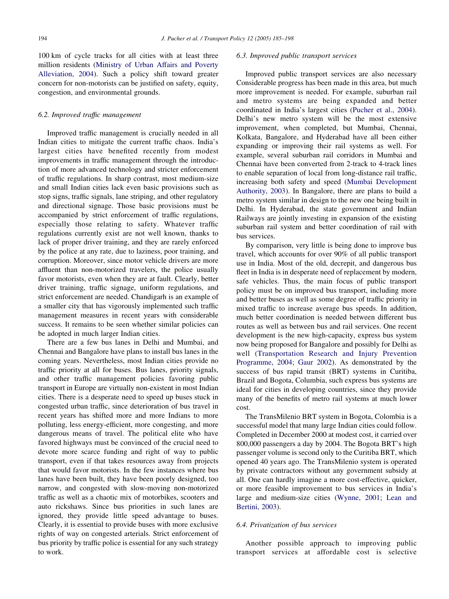100 km of cycle tracks for all cities with at least three million residents [\(Ministry of Urban Affairs and Poverty](#page-13-0) [Alleviation, 2004](#page-13-0)). Such a policy shift toward greater concern for non-motorists can be justified on safety, equity, congestion, and environmental grounds.

#### 6.2. Improved traffic management

Improved traffic management is crucially needed in all Indian cities to mitigate the current traffic chaos. India's largest cities have benefited recently from modest improvements in traffic management through the introduction of more advanced technology and stricter enforcement of traffic regulations. In sharp contrast, most medium-size and small Indian cities lack even basic provisions such as stop signs, traffic signals, lane striping, and other regulatory and directional signage. Those basic provisions must be accompanied by strict enforcement of traffic regulations, especially those relating to safety. Whatever traffic regulations currently exist are not well known, thanks to lack of proper driver training, and they are rarely enforced by the police at any rate, due to laziness, poor training, and corruption. Moreover, since motor vehicle drivers are more affluent than non-motorized travelers, the police usually favor motorists, even when they are at fault. Clearly, better driver training, traffic signage, uniform regulations, and strict enforcement are needed. Chandigarh is an example of a smaller city that has vigorously implemented such traffic management measures in recent years with considerable success. It remains to be seen whether similar policies can be adopted in much larger Indian cities.

There are a few bus lanes in Delhi and Mumbai, and Chennai and Bangalore have plans to install bus lanes in the coming years. Nevertheless, most Indian cities provide no traffic priority at all for buses. Bus lanes, priority signals, and other traffic management policies favoring public transport in Europe are virtually non-existent in most Indian cities. There is a desperate need to speed up buses stuck in congested urban traffic, since deterioration of bus travel in recent years has shifted more and more Indians to more polluting, less energy-efficient, more congesting, and more dangerous means of travel. The political elite who have favored highways must be convinced of the crucial need to devote more scarce funding and right of way to public transport, even if that takes resources away from projects that would favor motorists. In the few instances where bus lanes have been built, they have been poorly designed, too narrow, and congested with slow-moving non-motorized traffic as well as a chaotic mix of motorbikes, scooters and auto rickshaws. Since bus priorities in such lanes are ignored, they provide little speed advantage to buses. Clearly, it is essential to provide buses with more exclusive rights of way on congested arterials. Strict enforcement of bus priority by traffic police is essential for any such strategy to work.

## 6.3. Improved public transport services

Improved public transport services are also necessary Considerable progress has been made in this area, but much more improvement is needed. For example, suburban rail and metro systems are being expanded and better coordinated in India's largest cities ([Pucher et al., 2004\)](#page-13-0). Delhi's new metro system will be the most extensive improvement, when completed, but Mumbai, Chennai, Kolkata, Bangalore, and Hyderabad have all been either expanding or improving their rail systems as well. For example, several suburban rail corridors in Mumbai and Chennai have been converted from 2-track to 4-track lines to enable separation of local from long-distance rail traffic, increasing both safety and speed [\(Mumbai Development](#page-13-0) [Authority, 2003\)](#page-13-0). In Bangalore, there are plans to build a metro system similar in design to the new one being built in Delhi. In Hyderabad, the state government and Indian Railways are jointly investing in expansion of the existing suburban rail system and better coordination of rail with bus services.

By comparison, very little is being done to improve bus travel, which accounts for over 90% of all public transport use in India. Most of the old, decrepit, and dangerous bus fleet in India is in desperate need of replacement by modern, safe vehicles. Thus, the main focus of public transport policy must be on improved bus transport, including more and better buses as well as some degree of traffic priority in mixed traffic to increase average bus speeds. In addition, much better coordination is needed between different bus routes as well as between bus and rail services. One recent development is the new high-capacity, express bus system now being proposed for Bangalore and possibly for Delhi as well ([Transportation Research and Injury Prevention](#page-13-0) [Programme, 2004; Gaur 2002](#page-13-0)). As demonstrated by the success of bus rapid transit (BRT) systems in Curitiba, Brazil and Bogota, Columbia, such express bus systems are ideal for cities in developing countries, since they provide many of the benefits of metro rail systems at much lower cost.

The TransMilenio BRT system in Bogota, Colombia is a successful model that many large Indian cities could follow. Completed in December 2000 at modest cost, it carried over 800,000 passengers a day by 2004. The Bogota BRT's high passenger volume is second only to the Curitiba BRT, which opened 40 years ago. The TransMilenio system is operated by private contractors without any government subsidy at all. One can hardly imagine a more cost-effective, quicker, or more feasible improvement to bus services in India's large and medium-size cities [\(Wynne, 2001; Lean and](#page-13-0) [Bertini, 2003\)](#page-13-0).

#### 6.4. Privatization of bus services

Another possible approach to improving public transport services at affordable cost is selective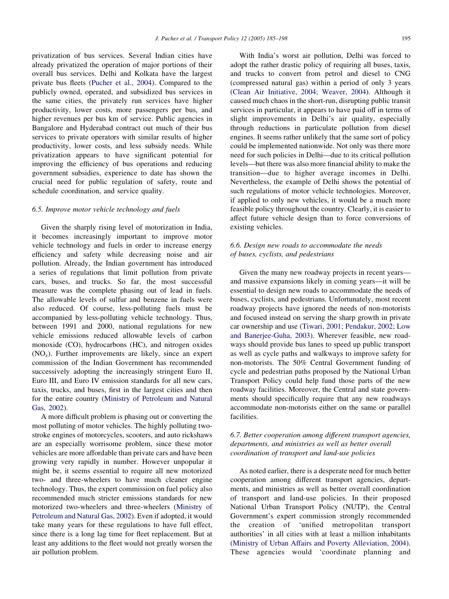privatization of bus services. Several Indian cities have already privatized the operation of major portions of their overall bus services. Delhi and Kolkata have the largest private bus fleets [\(Pucher et al., 2004](#page-13-0)). Compared to the publicly owned, operated, and subsidized bus services in the same cities, the privately run services have higher productivity, lower costs, more passengers per bus, and higher revenues per bus km of service. Public agencies in Bangalore and Hyderabad contract out much of their bus services to private operators with similar results of higher productivity, lower costs, and less subsidy needs. While privatization appears to have significant potential for improving the efficiency of bus operations and reducing government subsidies, experience to date has shown the crucial need for public regulation of safety, route and schedule coordination, and service quality.

#### 6.5. Improve motor vehicle technology and fuels

Given the sharply rising level of motorization in India, it becomes increasingly important to improve motor vehicle technology and fuels in order to increase energy efficiency and safety while decreasing noise and air pollution. Already, the Indian government has introduced a series of regulations that limit pollution from private cars, buses, and trucks. So far, the most successful measure was the complete phasing out of lead in fuels. The allowable levels of sulfur and benzene in fuels were also reduced. Of course, less-polluting fuels must be accompanied by less-polluting vehicle technology. Thus, between 1991 and 2000, national regulations for new vehicle emissions reduced allowable levels of carbon monoxide (CO), hydrocarbons (HC), and nitrogen oxides  $(NO<sub>x</sub>)$ . Further improvements are likely, since an expert commission of the Indian Government has recommended successively adopting the increasingly stringent Euro II, Euro III, and Euro IV emission standards for all new cars, taxis, trucks, and buses, first in the largest cities and then for the entire country [\(Ministry of Petroleum and Natural](#page-13-0) [Gas, 2002](#page-13-0)).

A more difficult problem is phasing out or converting the most polluting of motor vehicles. The highly polluting twostroke engines of motorcycles, scooters, and auto rickshaws are an especially worrisome problem, since these motor vehicles are more affordable than private cars and have been growing very rapidly in number. However unpopular it might be, it seems essential to require all new motorized two- and three-wheelers to have much cleaner engine technology. Thus, the expert commission on fuel policy also recommended much stricter emissions standards for new motorized two-wheelers and three-wheelers ([Ministry of](#page-13-0) [Petroleum and Natural Gas, 2002](#page-13-0)). Even if adopted, it would take many years for these regulations to have full effect, since there is a long lag time for fleet replacement. But at least any additions to the fleet would not greatly worsen the air pollution problem.

With India's worst air pollution, Delhi was forced to adopt the rather drastic policy of requiring all buses, taxis, and trucks to convert from petrol and diesel to CNG (compressed natural gas) within a period of only 3 years ([Clean Air Initiative, 2004; Weaver, 2004\)](#page-12-0). Although it caused much chaos in the short-run, disrupting public transit services in particular, it appears to have paid off in terms of slight improvements in Delhi's air quality, especially through reductions in particulate pollution from diesel engines. It seems rather unlikely that the same sort of policy could be implemented nationwide. Not only was there more need for such policies in Delhi—due to its critical pollution levels—but there was also more financial ability to make the transition—due to higher average incomes in Delhi. Nevertheless, the example of Delhi shows the potential of such regulations of motor vehicle technologies. Moreover, if applied to only new vehicles, it would be a much more feasible policy throughout the country. Clearly, it is easier to affect future vehicle design than to force conversions of existing vehicles.

# 6.6. Design new roads to accommodate the needs of buses, cyclists, and pedestrians

Given the many new roadway projects in recent years and massive expansions likely in coming years—it will be essential to design new roads to accommodate the needs of buses, cyclists, and pedestrians. Unfortunately, most recent roadway projects have ignored the needs of non-motorists and focused instead on serving the sharp growth in private car ownership and use ([Tiwari, 2001; Pendakur, 2002; Low](#page-13-0) [and Banerjee-Guha, 2003](#page-13-0)). Wherever feasible, new roadways should provide bus lanes to speed up public transport as well as cycle paths and walkways to improve safety for non-motorists. The 50% Central Government funding of cycle and pedestrian paths proposed by the National Urban Transport Policy could help fund those parts of the new roadway facilities. Moreover, the Central and state governments should specifically require that any new roadways accommodate non-motorists either on the same or parallel facilities.

# 6.7. Better cooperation among different transport agencies, departments, and ministries as well as better overall coordination of transport and land-use policies

As noted earlier, there is a desperate need for much better cooperation among different transport agencies, departments, and ministries as well as better overall coordination of transport and land-use policies. In their proposed National Urban Transport Policy (NUTP), the Central Government's expert commission strongly recommended the creation of 'unified metropolitan transport authorities' in all cities with at least a million inhabitants ([Ministry of Urban Affairs and Poverty Alleviation, 2004\)](#page-13-0). These agencies would 'coordinate planning and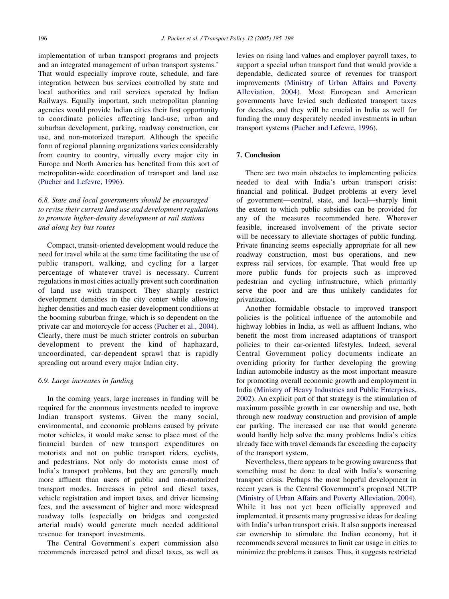implementation of urban transport programs and projects and an integrated management of urban transport systems.' That would especially improve route, schedule, and fare integration between bus services controlled by state and local authorities and rail services operated by Indian Railways. Equally important, such metropolitan planning agencies would provide Indian cities their first opportunity to coordinate policies affecting land-use, urban and suburban development, parking, roadway construction, car use, and non-motorized transport. Although the specific form of regional planning organizations varies considerably from country to country, virtually every major city in Europe and North America has benefited from this sort of metropolitan-wide coordination of transport and land use ([Pucher and Lefevre, 1996\)](#page-13-0).

# 6.8. State and local governments should be encouraged to revise their current land use and development regulations to promote higher-density development at rail stations and along key bus routes

Compact, transit-oriented development would reduce the need for travel while at the same time facilitating the use of public transport, walking, and cycling for a larger percentage of whatever travel is necessary. Current regulations in most cities actually prevent such coordination of land use with transport. They sharply restrict development densities in the city center while allowing higher densities and much easier development conditions at the booming suburban fringe, which is so dependent on the private car and motorcycle for access [\(Pucher et al., 2004\)](#page-13-0). Clearly, there must be much stricter controls on suburban development to prevent the kind of haphazard, uncoordinated, car-dependent sprawl that is rapidly spreading out around every major Indian city.

#### 6.9. Large increases in funding

In the coming years, large increases in funding will be required for the enormous investments needed to improve Indian transport systems. Given the many social, environmental, and economic problems caused by private motor vehicles, it would make sense to place most of the financial burden of new transport expenditures on motorists and not on public transport riders, cyclists, and pedestrians. Not only do motorists cause most of India's transport problems, but they are generally much more affluent than users of public and non-motorized transport modes. Increases in petrol and diesel taxes, vehicle registration and import taxes, and driver licensing fees, and the assessment of higher and more widespread roadway tolls (especially on bridges and congested arterial roads) would generate much needed additional revenue for transport investments.

The Central Government's expert commission also recommends increased petrol and diesel taxes, as well as levies on rising land values and employer payroll taxes, to support a special urban transport fund that would provide a dependable, dedicated source of revenues for transport improvements ([Ministry of Urban Affairs and Poverty](#page-13-0) [Alleviation, 2004](#page-13-0)). Most European and American governments have levied such dedicated transport taxes for decades, and they will be crucial in India as well for funding the many desperately needed investments in urban transport systems [\(Pucher and Lefevre, 1996\)](#page-13-0).

#### 7. Conclusion

There are two main obstacles to implementing policies needed to deal with India's urban transport crisis: financial and political. Budget problems at every level of government—central, state, and local—sharply limit the extent to which public subsidies can be provided for any of the measures recommended here. Wherever feasible, increased involvement of the private sector will be necessary to alleviate shortages of public funding. Private financing seems especially appropriate for all new roadway construction, most bus operations, and new express rail services, for example. That would free up more public funds for projects such as improved pedestrian and cycling infrastructure, which primarily serve the poor and are thus unlikely candidates for privatization.

Another formidable obstacle to improved transport policies is the political influence of the automobile and highway lobbies in India, as well as affluent Indians, who benefit the most from increased adaptations of transport policies to their car-oriented lifestyles. Indeed, several Central Government policy documents indicate an overriding priority for further developing the growing Indian automobile industry as the most important measure for promoting overall economic growth and employment in India [\(Ministry of Heavy Industries and Public Enterprises,](#page-13-0) [2002\)](#page-13-0). An explicit part of that strategy is the stimulation of maximum possible growth in car ownership and use, both through new roadway construction and provision of ample car parking. The increased car use that would generate would hardly help solve the many problems India's cities already face with travel demands far exceeding the capacity of the transport system.

Nevertheless, there appears to be growing awareness that something must be done to deal with India's worsening transport crisis. Perhaps the most hopeful development in recent years is the Central Government's proposed NUTP ([Ministry of Urban Affairs and Poverty Alleviation, 2004\)](#page-13-0). While it has not yet been officially approved and implemented, it presents many progressive ideas for dealing with India's urban transport crisis. It also supports increased car ownership to stimulate the Indian economy, but it recommends several measures to limit car usage in cities to minimize the problems it causes. Thus, it suggests restricted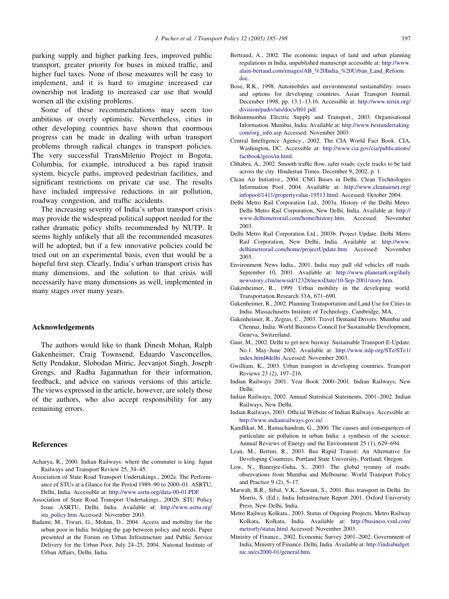<span id="page-12-0"></span>parking supply and higher parking fees, improved public transport, greater priority for buses in mixed traffic, and higher fuel taxes. None of those measures will be easy to implement, and it is hard to imagine increased car ownership not leading to increased car use that would worsen all the existing problems.

Some of these recommendations may seem too ambitious or overly optimistic. Nevertheless, cities in other developing countries have shown that enormous progress can be made in dealing with urban transport problems through radical changes in transport policies. The very successful TransMilenio Project in Bogota, Columbia, for example, introduced a bus rapid transit system, bicycle paths, improved pedestrian facilities, and significant restrictions on private car use. The results have included impressive reductions in air pollution, roadway congestion, and traffic accidents.

The increasing severity of India's urban transport crisis may provide the widespread political support needed for the rather dramatic policy shifts recommended by NUTP. It seems highly unlikely that all the recommended measures will be adopted, but if a few innovative policies could be tried out on an experimental basis, even that would be a hopeful first step. Clearly, India's urban transport crisis has many dimensions, and the solution to that crisis will necessarily have many dimensions as well, implemented in many stages over many years.

### Acknowledgements

The authors would like to thank Dinesh Mohan, Ralph Gakenheimer, Craig Townsend, Eduardo Vasconcellos, Setty Pendakur, Slobodan Mitric, Jeevanjot Singh, Joseph Grengs, and Radha Jagannathan for their information, feedback, and advice on various versions of this article. The views expressed in the article, however, are solely those of the authors, who also accept responsibility for any remaining errors.

#### References

- Acharya, R., 2000. Indian Railways: where the commuter is king. Japan Railways and Transport Review 25, 34–45.
- Association of State Road Transport Undertakings., 2002a. The Performance of STUs at a Glance for the Period 1989–90 to 2000–01. ASRTU, Delhi, India. Accessible at: <http://www.asrtu.org/data-00-01.PDF>.
- Association of State Road Transport Undertakings., 2002b. STU Policy Issue. ASRTU, Delhi, India. Available at: [http://www.asrtu.org/](http://www.asrtu.org/stu_policy.htm) [stu\\_policy.htm](http://www.asrtu.org/stu_policy.htm) Accessed: November 2003.
- Badami, M., Tiwari, G., Mohan, D., 2004. Access and mobility for the urban poor in India: bridging the gap between policy and needs. Paper presented at the Forum on Urban Infrastructure and Public Service Delivery for the Urban Poor, July 24–25, 2004. National Institute of Urban Affairs, Delhi, India.
- Bertraud, A., 2002. The economic impact of land and urban planning regulations in India, unpublished manuscript accessible at: [http://www.](http://www.alain-bertaud.com/images/AB_%20India_%20Urban_Land_Reform.doc) [alain-bertaud.com/images/AB\\_%20India\\_%20Urban\\_Land\\_Reform.](http://www.alain-bertaud.com/images/AB_%20India_%20Urban_Land_Reform.doc) [doc.](http://www.alain-bertaud.com/images/AB_%20India_%20Urban_Land_Reform.doc)
- Bose, R.K., 1998. Automobiles and environmental sustainability: issues and options for developing countries. Asian Transport Journal, December 1998, pp. 13.1–13.16. Accessible at: [http://www.teriin.org/](http://www.teriin.org/division/padiv/uts/docs/ft01.pdf) [division/padiv/uts/docs/ft01.pdf](http://www.teriin.org/division/padiv/uts/docs/ft01.pdf).
- Brihanmumbai Electric Supply and Transport., 2003. Organisational Information. Mumbai, India. Available at: [http://www.bestundertaking.](http://www.bestundertaking.com/org_info.asp) [com/org\\_info.asp](http://www.bestundertaking.com/org_info.asp) Accessed: November 2003.
- Central Intelligence Agency., 2002. The CIA World Fact Book. CIA, Washington, DC. Accessible at: [http://www.cia.gov/cia/publications/](http://www.cia.gov/cia/publications/factbook/geos/in.html) [factbook/geos/in.html](http://www.cia.gov/cia/publications/factbook/geos/in.html).
- Chhabra, A., 2002. Smooth traffic flow, safer roads: cycle tracks to be laid across the city. Hindustan Times. December 9, 2002, p. 1.
- Clean Air Initiative., 2004. CNG Buses in Delhi. Clean Technologies Information Pool. 2004. Available at: [http://www.cleanairnet.org/](http://www.cleanairnet.org/infopool/1411/propertyvalue-19513.html) [infopool/1411/propertyvalue-19513.html](http://www.cleanairnet.org/infopool/1411/propertyvalue-19513.html). Accessed: October 2004.
- Delhi Metro Rail Corporation Ltd., 2003a. History of the Delhi Metro. Delhi Metro Rail Corporation, New Delhi, India. Available at: [http://](http://www.delhimetrorail.com/home/history.htm) [www.delhimetrorail.com/home/history.htm](http://www.delhimetrorail.com/home/history.htm). Accessed: November 2003.
- Delhi Metro Rail Corporation Ltd., 2003b. Project Update. Delhi Metro Rail Corporation, New Delhi, India. Available at: [http://www.](http://www.delhimetrorail.com/home/projectUpdate.htm) [delhimetrorail.com/home/projectUpdate.htm](http://www.delhimetrorail.com/home/projectUpdate.htm) Accessed: November 2003.
- Environment News India., 2001. India may pull old vehicles off roads. September 10, 2001. Available at: [http://www.planetark.org/daily](http://www.planetark.org/dailynewsstory.cfm/newsid/12328/newsDate/10-Sep-2001/story.htm) [newsstory.cfm/newsid/12328/newsDate/10-Sep-2001/story.htm](http://www.planetark.org/dailynewsstory.cfm/newsid/12328/newsDate/10-Sep-2001/story.htm).
- Gakenheimer, R., 1999. Urban mobility in the developing world. Transportation Research 33A, 671–690.
- Gakenheimer, R., 2002. Planning Transportation and Land Use for Cities in India. Massachusetts Institute of Technology, Cambridge, MA.
- Gakenheimer, R., Zegras, C., 2003. Travel Demand Drivers: Mumbai and Chennai, India. World Business Council for Sustainable Development, Geneva, Switzerland.
- Gaur, M., 2002. Delhi to get new busway. Sustainable Transport E-Update. No.1. May–June 2002. Available at: [http://www.itdp.org/STe/STe1/](http://www.itdp.org/STe/STe1/index.html#delhi) [index.html#delhi](http://www.itdp.org/STe/STe1/index.html#delhi) Accessed: November 2003.
- Gwilliam, K., 2003. Urban transport in developing countries. Transport Reviews 23 (2), 197–216.
- Indian Railways 2001. Year Book 2000–2001. Indian Railways, New Delhi.
- Indian Railways, 2002. Annual Statistical Statements, 2001–2002. Indian Railways, New Delhi.
- Indian Railways, 2003. Official Website of Indian Railways. Accessible at: <http://www.indianrailways.gov.in/>.
- Kandlikar, M., Ramachandran, G., 2000. The causes and consequences of particulate air pollution in urban India: a synthesis of the science. Annual Reviews of Energy and the Environment 25 (1), 629–694.
- Lean, M., Bertini, R., 2003. Bus Rapid Transit: An Alternative for Developing Countries. Portland State University, Portland, Oregon.
- Low, N., Banerjee-Guha, S., 2003. The global tyranny of roads: observations from Mumbai and Melbourne. World Transport Policy and Practice 9 (2), 5–17.
- Marwah, B.R., Sibal, V.K., Sawant, S., 2001. Bus transport in Delhi. In: Morris, S. (Ed.), India Infrastructure Report 2001. Oxford University Press, New Delhi, India.
- Metro Railway Kolkata., 2003. Status of Ongoing Projects. Metro Railway Kolkata, Kolkata, India. Available at: [http://business.vsnl.com/](http://business.vsnl.com/metrorly/status.html) [metrorly/status.html](http://business.vsnl.com/metrorly/status.html) Accessed: November 2003.
- Ministry of Finance., 2002. Economic Survey 2001–2002. Government of India, Ministry of Finance, Delhi, India. Available at: [http://indiabudget.](http://indiabudget.nic.in/es2000-01/general.htm) [nic.in/es2000-01/general.htm.](http://indiabudget.nic.in/es2000-01/general.htm)